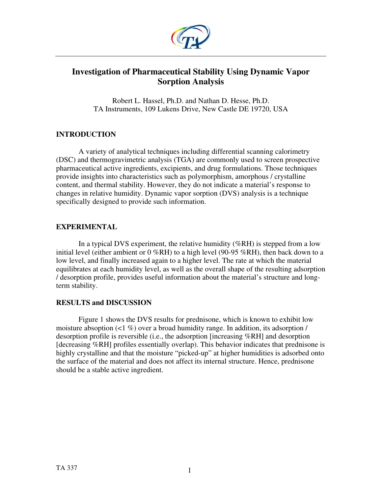

# **Investigation of Pharmaceutical Stability Using Dynamic Vapor Sorption Analysis**

Robert L. Hassel, Ph.D. and Nathan D. Hesse, Ph.D. TA Instruments, 109 Lukens Drive, New Castle DE 19720, USA

## **INTRODUCTION**

A variety of analytical techniques including differential scanning calorimetry (DSC) and thermogravimetric analysis (TGA) are commonly used to screen prospective pharmaceutical active ingredients, excipients, and drug formulations. Those techniques provide insights into characteristics such as polymorphism, amorphous / crystalline content, and thermal stability. However, they do not indicate a material's response to changes in relative humidity. Dynamic vapor sorption (DVS) analysis is a technique specifically designed to provide such information.

## **EXPERIMENTAL**

In a typical DVS experiment, the relative humidity ( $%RH$ ) is stepped from a low initial level (either ambient or  $0\%RH$ ) to a high level (90-95 %RH), then back down to a low level, and finally increased again to a higher level. The rate at which the material equilibrates at each humidity level, as well as the overall shape of the resulting adsorption / desorption profile, provides useful information about the material's structure and longterm stability.

## **RESULTS and DISCUSSION**

Figure 1 shows the DVS results for prednisone, which is known to exhibit low moisture absoption  $\left($ <1 %) over a broad humidity range. In addition, its adsorption / desorption profile is reversible (i.e., the adsorption [increasing %RH] and desorption [decreasing %RH] profiles essentially overlap). This behavior indicates that prednisone is highly crystalline and that the moisture "picked-up" at higher humidities is adsorbed onto the surface of the material and does not affect its internal structure. Hence, prednisone should be a stable active ingredient.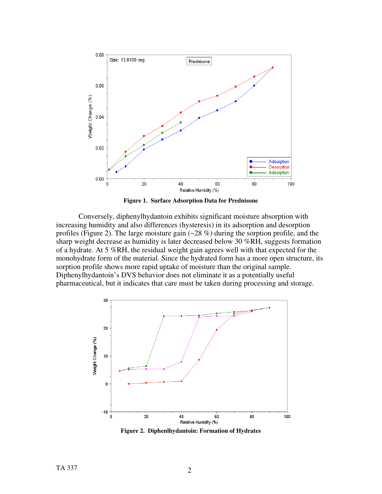



Conversely, diphenylhydantoin exhibits significant moisture absorption with increasing humidity and also differences (hysteresis) in its adsorption and desorption profiles (Figure 2). The large moisture gain  $(-28\%)$  during the sorption profile, and the sharp weight decrease as humidity is later decreased below 30 %RH, suggests formation of a hydrate. At 5 %RH, the residual weight gain agrees well with that expected for the monohydrate form of the material. Since the hydrated form has a more open structure, its sorption profile shows more rapid uptake of moisture than the original sample. Diphenylhydantoin's DVS behavior does not eliminate it as a potentially useful pharmaceutical, but it indicates that care must be taken during processing and storage.



**Figure 2. Diphenlhydantoin: Formation of Hydrates**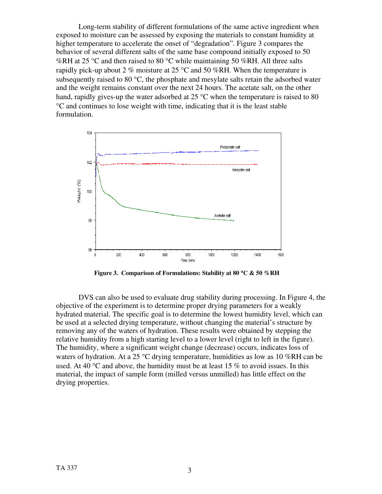Long-term stability of different formulations of the same active ingredient when exposed to moisture can be assessed by exposing the materials to constant humidity at higher temperature to accelerate the onset of "degradation". Figure 3 compares the behavior of several different salts of the same base compound initially exposed to 50 %RH at 25 °C and then raised to 80 °C while maintaining 50 %RH. All three salts rapidly pick-up about 2 % moisture at 25  $^{\circ}$ C and 50 %RH. When the temperature is subsequently raised to 80 $\degree$ C, the phosphate and mesylate salts retain the adsorbed water and the weight remains constant over the next 24 hours. The acetate salt, on the other hand, rapidly gives-up the water adsorbed at 25 °C when the temperature is raised to 80 °C and continues to lose weight with time, indicating that it is the least stable formulation.



 **Figure 3. Comparison of Formulations: Stability at 80** °**C & 50 %RH** 

DVS can also be used to evaluate drug stability during processing. In Figure 4, the objective of the experiment is to determine proper drying parameters for a weakly hydrated material. The specific goal is to determine the lowest humidity level, which can be used at a selected drying temperature, without changing the material's structure by removing any of the waters of hydration. These results were obtained by stepping the relative humidity from a high starting level to a lower level (right to left in the figure). The humidity, where a significant weight change (decrease) occurs, indicates loss of waters of hydration. At a 25  $\degree$ C drying temperature, humidities as low as 10 %RH can be used. At 40  $\degree$ C and above, the humidity must be at least 15 % to avoid issues. In this material, the impact of sample form (milled versus unmilled) has little effect on the drying properties.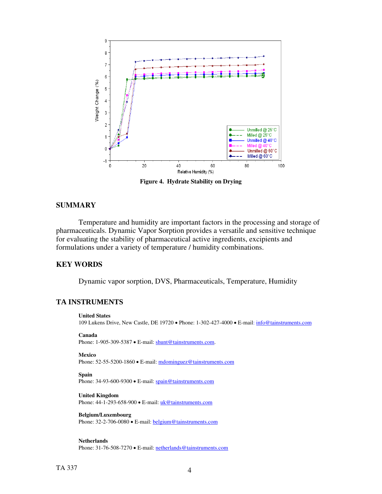

**Figure 4. Hydrate Stability on Drying** 

## **SUMMARY**

Temperature and humidity are important factors in the processing and storage of pharmaceuticals. Dynamic Vapor Sorption provides a versatile and sensitive technique for evaluating the stability of pharmaceutical active ingredients, excipients and formulations under a variety of temperature / humidity combinations.

## **KEY WORDS**

Dynamic vapor sorption, DVS, Pharmaceuticals, Temperature, Humidity

## **TA INSTRUMENTS**

#### **United States**

109 Lukens Drive, New Castle, DE 19720 • Phone: 1-302-427-4000 • E-mail: [info@tainstruments.com](mailto:info@tainstruments.com) 

```
Canada
```
Phone: 1-905-309-5387 • E-mail: [shunt@tainstruments.com.](mailto:shunt@tainstruments.com)

#### **Mexico**

Phone: 52-55-5200-1860 • E-mail: mdominguez@tainstruments.com

## **Spain**

Phone: 34-93-600-9300 • E-mail: spain@tainstruments.com

## **United Kingdom**

Phone: 44-1-293-658-900 • E-mail: *uk@tainstruments.com* 

## **Belgium/Luxembourg**

Phone: 32-2-706-0080 • E-mail: **belgium@tainstruments.com** 

## **Netherlands**

Phone: 31-76-508-7270 • E-mail: [netherlands@tainstruments.com](mailto:netherlands@tainstruments.com)